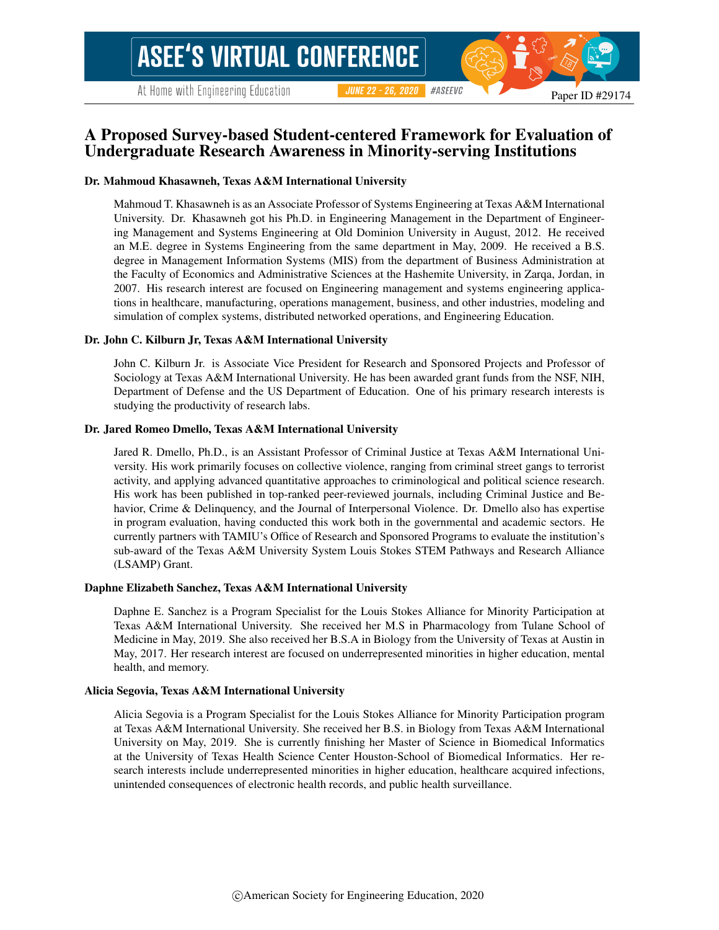# A Proposed Survey-based Student-centered Framework for Evaluation of Undergraduate Research Awareness in Minority-serving Institutions

#### Dr. Mahmoud Khasawneh, Texas A&M International University

Mahmoud T. Khasawneh is as an Associate Professor of Systems Engineering at Texas A&M International University. Dr. Khasawneh got his Ph.D. in Engineering Management in the Department of Engineering Management and Systems Engineering at Old Dominion University in August, 2012. He received an M.E. degree in Systems Engineering from the same department in May, 2009. He received a B.S. degree in Management Information Systems (MIS) from the department of Business Administration at the Faculty of Economics and Administrative Sciences at the Hashemite University, in Zarqa, Jordan, in 2007. His research interest are focused on Engineering management and systems engineering applications in healthcare, manufacturing, operations management, business, and other industries, modeling and simulation of complex systems, distributed networked operations, and Engineering Education.

#### Dr. John C. Kilburn Jr, Texas A&M International University

John C. Kilburn Jr. is Associate Vice President for Research and Sponsored Projects and Professor of Sociology at Texas A&M International University. He has been awarded grant funds from the NSF, NIH, Department of Defense and the US Department of Education. One of his primary research interests is studying the productivity of research labs.

#### Dr. Jared Romeo Dmello, Texas A&M International University

Jared R. Dmello, Ph.D., is an Assistant Professor of Criminal Justice at Texas A&M International University. His work primarily focuses on collective violence, ranging from criminal street gangs to terrorist activity, and applying advanced quantitative approaches to criminological and political science research. His work has been published in top-ranked peer-reviewed journals, including Criminal Justice and Behavior, Crime & Delinquency, and the Journal of Interpersonal Violence. Dr. Dmello also has expertise in program evaluation, having conducted this work both in the governmental and academic sectors. He currently partners with TAMIU's Office of Research and Sponsored Programs to evaluate the institution's sub-award of the Texas A&M University System Louis Stokes STEM Pathways and Research Alliance (LSAMP) Grant.

#### Daphne Elizabeth Sanchez, Texas A&M International University

Daphne E. Sanchez is a Program Specialist for the Louis Stokes Alliance for Minority Participation at Texas A&M International University. She received her M.S in Pharmacology from Tulane School of Medicine in May, 2019. She also received her B.S.A in Biology from the University of Texas at Austin in May, 2017. Her research interest are focused on underrepresented minorities in higher education, mental health, and memory.

#### Alicia Segovia, Texas A&M International University

Alicia Segovia is a Program Specialist for the Louis Stokes Alliance for Minority Participation program at Texas A&M International University. She received her B.S. in Biology from Texas A&M International University on May, 2019. She is currently finishing her Master of Science in Biomedical Informatics at the University of Texas Health Science Center Houston-School of Biomedical Informatics. Her research interests include underrepresented minorities in higher education, healthcare acquired infections, unintended consequences of electronic health records, and public health surveillance.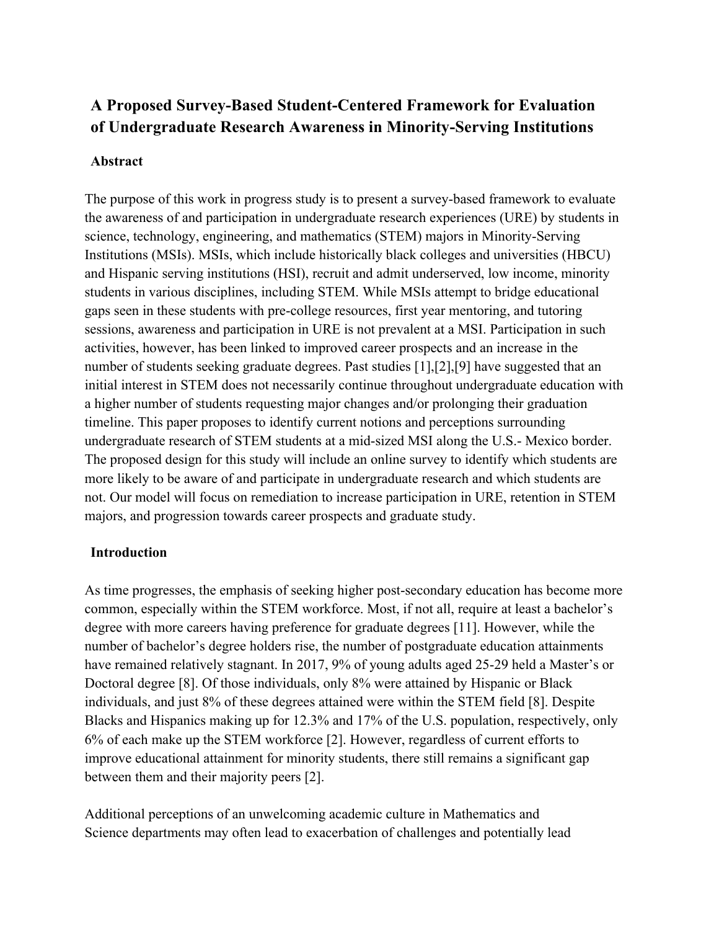# **A Proposed Survey-Based Student-Centered Framework for Evaluation of Undergraduate Research Awareness in Minority-Serving Institutions**

# **Abstract**

The purpose of this work in progress study is to present a survey-based framework to evaluate the awareness of and participation in undergraduate research experiences (URE) by students in science, technology, engineering, and mathematics (STEM) majors in Minority-Serving Institutions (MSIs). MSIs, which include historically black colleges and universities (HBCU) and Hispanic serving institutions (HSI), recruit and admit underserved, low income, minority students in various disciplines, including STEM. While MSIs attempt to bridge educational gaps seen in these students with pre-college resources, first year mentoring, and tutoring sessions, awareness and participation in URE is not prevalent at a MSI. Participation in such activities, however, has been linked to improved career prospects and an increase in the number of students seeking graduate degrees. Past studies [1],[2],[9] have suggested that an initial interest in STEM does not necessarily continue throughout undergraduate education with a higher number of students requesting major changes and/or prolonging their graduation timeline. This paper proposes to identify current notions and perceptions surrounding undergraduate research of STEM students at a mid-sized MSI along the U.S.- Mexico border. The proposed design for this study will include an online survey to identify which students are more likely to be aware of and participate in undergraduate research and which students are not. Our model will focus on remediation to increase participation in URE, retention in STEM majors, and progression towards career prospects and graduate study.

## **Introduction**

As time progresses, the emphasis of seeking higher post-secondary education has become more common, especially within the STEM workforce. Most, if not all, require at least a bachelor's degree with more careers having preference for graduate degrees [11]. However, while the number of bachelor's degree holders rise, the number of postgraduate education attainments have remained relatively stagnant. In 2017, 9% of young adults aged 25-29 held a Master's or Doctoral degree [8]. Of those individuals, only 8% were attained by Hispanic or Black individuals, and just 8% of these degrees attained were within the STEM field [8]. Despite Blacks and Hispanics making up for 12.3% and 17% of the U.S. population, respectively, only 6% of each make up the STEM workforce [2]. However, regardless of current efforts to improve educational attainment for minority students, there still remains a significant gap between them and their majority peers [2].

Additional perceptions of an unwelcoming academic culture in Mathematics and Science departments may often lead to exacerbation of challenges and potentially lead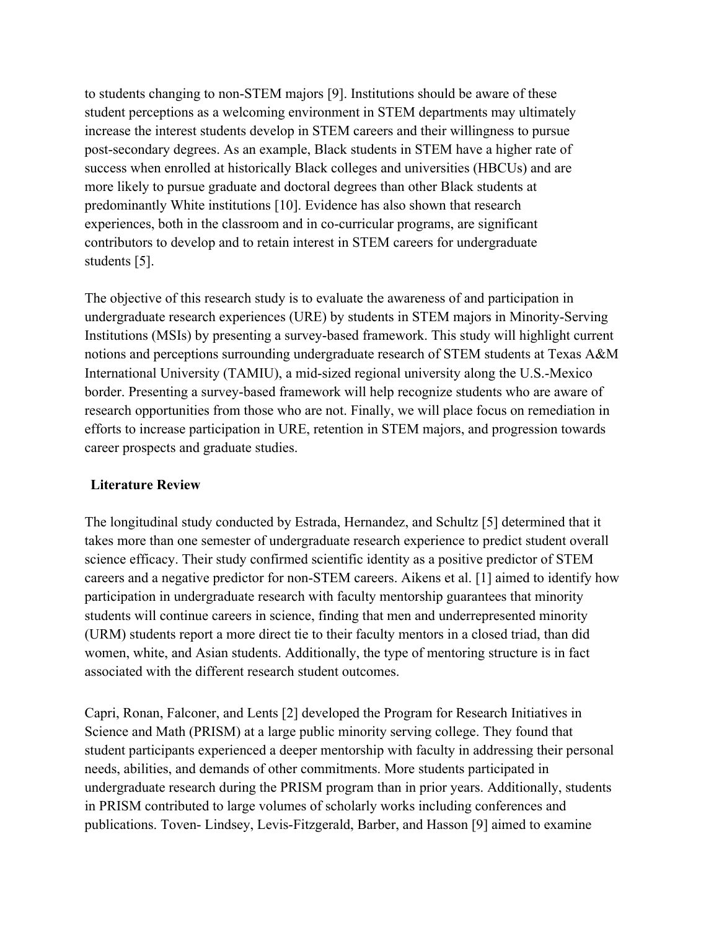to students changing to non-STEM majors [9]. Institutions should be aware of these student perceptions as a welcoming environment in STEM departments may ultimately increase the interest students develop in STEM careers and their willingness to pursue post-secondary degrees. As an example, Black students in STEM have a higher rate of success when enrolled at historically Black colleges and universities (HBCUs) and are more likely to pursue graduate and doctoral degrees than other Black students at predominantly White institutions [10]. Evidence has also shown that research experiences, both in the classroom and in co-curricular programs, are significant contributors to develop and to retain interest in STEM careers for undergraduate students [5].

The objective of this research study is to evaluate the awareness of and participation in undergraduate research experiences (URE) by students in STEM majors in Minority-Serving Institutions (MSIs) by presenting a survey-based framework. This study will highlight current notions and perceptions surrounding undergraduate research of STEM students at Texas A&M International University (TAMIU), a mid-sized regional university along the U.S.-Mexico border. Presenting a survey-based framework will help recognize students who are aware of research opportunities from those who are not. Finally, we will place focus on remediation in efforts to increase participation in URE, retention in STEM majors, and progression towards career prospects and graduate studies.

# **Literature Review**

The longitudinal study conducted by Estrada, Hernandez, and Schultz [5] determined that it takes more than one semester of undergraduate research experience to predict student overall science efficacy. Their study confirmed scientific identity as a positive predictor of STEM careers and a negative predictor for non-STEM careers. Aikens et al. [1] aimed to identify how participation in undergraduate research with faculty mentorship guarantees that minority students will continue careers in science, finding that men and underrepresented minority (URM) students report a more direct tie to their faculty mentors in a closed triad, than did women, white, and Asian students. Additionally, the type of mentoring structure is in fact associated with the different research student outcomes.

Capri, Ronan, Falconer, and Lents [2] developed the Program for Research Initiatives in Science and Math (PRISM) at a large public minority serving college. They found that student participants experienced a deeper mentorship with faculty in addressing their personal needs, abilities, and demands of other commitments. More students participated in undergraduate research during the PRISM program than in prior years. Additionally, students in PRISM contributed to large volumes of scholarly works including conferences and publications. Toven- Lindsey, Levis-Fitzgerald, Barber, and Hasson [9] aimed to examine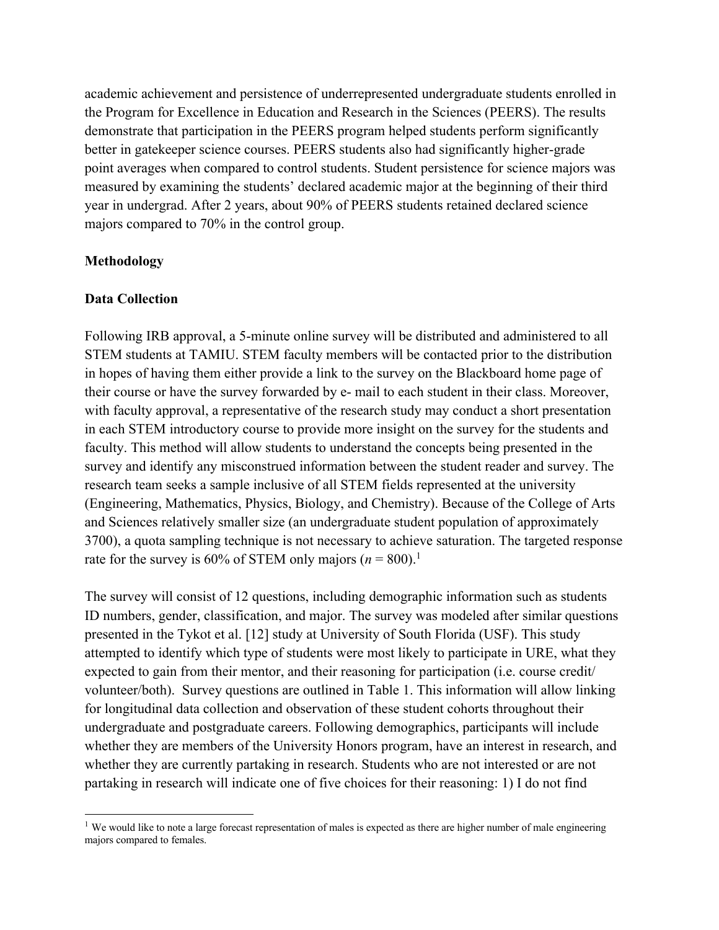academic achievement and persistence of underrepresented undergraduate students enrolled in the Program for Excellence in Education and Research in the Sciences (PEERS). The results demonstrate that participation in the PEERS program helped students perform significantly better in gatekeeper science courses. PEERS students also had significantly higher-grade point averages when compared to control students. Student persistence for science majors was measured by examining the students' declared academic major at the beginning of their third year in undergrad. After 2 years, about 90% of PEERS students retained declared science majors compared to 70% in the control group.

## **Methodology**

## **Data Collection**

Following IRB approval, a 5-minute online survey will be distributed and administered to all STEM students at TAMIU. STEM faculty members will be contacted prior to the distribution in hopes of having them either provide a link to the survey on the Blackboard home page of their course or have the survey forwarded by e- mail to each student in their class. Moreover, with faculty approval, a representative of the research study may conduct a short presentation in each STEM introductory course to provide more insight on the survey for the students and faculty. This method will allow students to understand the concepts being presented in the survey and identify any misconstrued information between the student reader and survey. The research team seeks a sample inclusive of all STEM fields represented at the university (Engineering, Mathematics, Physics, Biology, and Chemistry). Because of the College of Arts and Sciences relatively smaller size (an undergraduate student population of approximately 3700), a quota sampling technique is not necessary to achieve saturation. The targeted response rate for the survey is 60% of STEM only majors  $(n = 800)$ .<sup>1</sup>

The survey will consist of 12 questions, including demographic information such as students ID numbers, gender, classification, and major. The survey was modeled after similar questions presented in the Tykot et al. [12] study at University of South Florida (USF). This study attempted to identify which type of students were most likely to participate in URE, what they expected to gain from their mentor, and their reasoning for participation (i.e. course credit/ volunteer/both). Survey questions are outlined in Table 1. This information will allow linking for longitudinal data collection and observation of these student cohorts throughout their undergraduate and postgraduate careers. Following demographics, participants will include whether they are members of the University Honors program, have an interest in research, and whether they are currently partaking in research. Students who are not interested or are not partaking in research will indicate one of five choices for their reasoning: 1) I do not find

<sup>&</sup>lt;sup>1</sup> We would like to note a large forecast representation of males is expected as there are higher number of male engineering majors compared to females.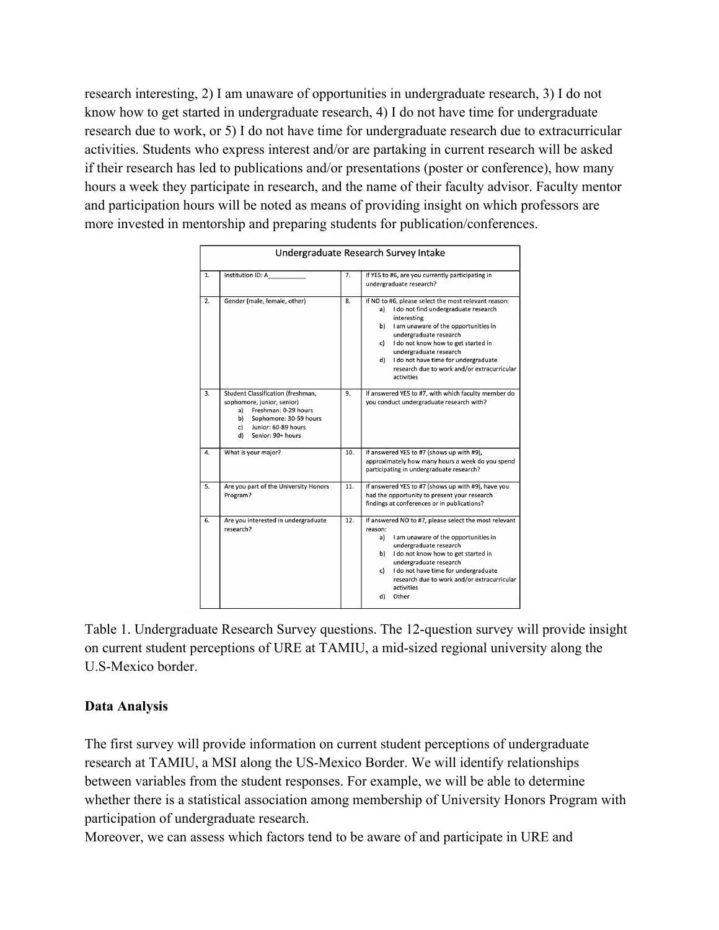research interesting, 2) I am unaware of opportunities in undergraduate research, 3) I do not know how to get started in undergraduate research, 4) I do not have time for undergraduate research due to work, or 5) I do not have time for undergraduate research due to extracurricular activities. Students who express interest and/or are partaking in current research will be asked if their research has led to publications and/or presentations (poster or conference), how many hours a week they participate in research, and the name of their faculty advisor. Faculty mentor and participation hours will be noted as means of providing insight on which professors are more invested in mentorship and preparing students for publication/conferences.

| Undergraduate Research Survey Intake |                                                                                                                                                                                       |     |                                                                                                                                                                                                                                                                                                                                                                             |
|--------------------------------------|---------------------------------------------------------------------------------------------------------------------------------------------------------------------------------------|-----|-----------------------------------------------------------------------------------------------------------------------------------------------------------------------------------------------------------------------------------------------------------------------------------------------------------------------------------------------------------------------------|
| 1.                                   | Institution ID: A                                                                                                                                                                     | 7.  | If YES to #6, are you currently participating in<br>undergraduate research?                                                                                                                                                                                                                                                                                                 |
| 2.                                   | Gender (male, female, other)                                                                                                                                                          | 8.  | If NO to #6, please select the most relevant reason:<br>I do not find undergraduate research<br>a)<br>interesting<br>I am unaware of the opportunities in<br>b)<br>undergraduate research<br>I do not know how to get started in<br>c)<br>undergraduate research<br>I do not have time for undergraduate<br>d)<br>research due to work and/or extracurricular<br>activities |
| 3.                                   | Student Classification (freshman,<br>sophomore, junior, senior)<br>Freshman: 0-29 hours<br>a)<br>b)<br>Sophomore: 30-59 hours<br>Junior: 60-89 hours<br>c)<br>Senior: 90+ hours<br>d) | 9.  | If answered YES to #7, with which faculty member do<br>you conduct undergraduate research with?                                                                                                                                                                                                                                                                             |
| 4.                                   | What is your major?                                                                                                                                                                   | 10. | If answered YES to #7 (shows up with #9),<br>approximately how many hours a week do you spend<br>participating in undergraduate research?                                                                                                                                                                                                                                   |
| 5.                                   | Are you part of the University Honors<br>Program?                                                                                                                                     | 11. | If answered YES to #7 (shows up with #9), have you<br>had the opportunity to present your research<br>findings at conferences or in publications?                                                                                                                                                                                                                           |
| 6.                                   | Are you interested in undergraduate<br>research?                                                                                                                                      | 12. | If answered NO to #7, please select the most relevant<br>reason:<br>I am unaware of the opportunities in<br>a)<br>undergraduate research<br>b) I do not know how to get started in<br>undergraduate research<br>I do not have time for undergraduate<br>c)<br>research due to work and/or extracurricular<br>activities<br>Other<br>d)                                      |

Table 1. Undergraduate Research Survey questions. The 12-question survey will provide insight on current student perceptions of URE at TAMIU, a mid-sized regional university along the U.S-Mexico border.

# **Data Analysis**

The first survey will provide information on current student perceptions of undergraduate research at TAMIU, a MSI along the US-Mexico Border. We will identify relationships between variables from the student responses. For example, we will be able to determine whether there is a statistical association among membership of University Honors Program with participation of undergraduate research.

Moreover, we can assess which factors tend to be aware of and participate in URE and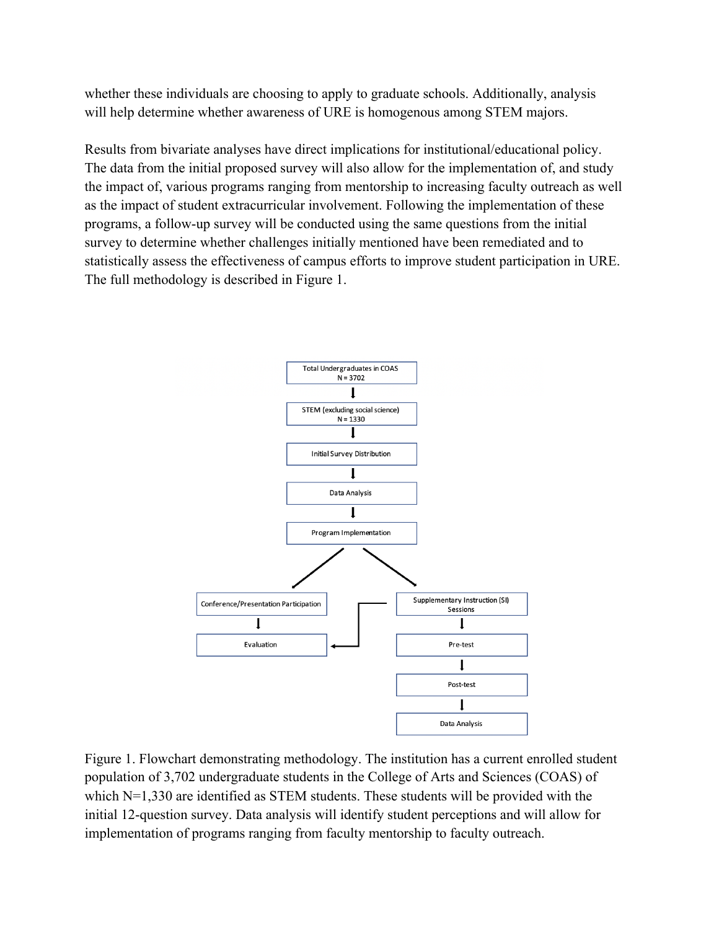whether these individuals are choosing to apply to graduate schools. Additionally, analysis will help determine whether awareness of URE is homogenous among STEM majors.

Results from bivariate analyses have direct implications for institutional/educational policy. The data from the initial proposed survey will also allow for the implementation of, and study the impact of, various programs ranging from mentorship to increasing faculty outreach as well as the impact of student extracurricular involvement. Following the implementation of these programs, a follow-up survey will be conducted using the same questions from the initial survey to determine whether challenges initially mentioned have been remediated and to statistically assess the effectiveness of campus efforts to improve student participation in URE. The full methodology is described in Figure 1.



Figure 1. Flowchart demonstrating methodology. The institution has a current enrolled student population of 3,702 undergraduate students in the College of Arts and Sciences (COAS) of which N=1,330 are identified as STEM students. These students will be provided with the initial 12-question survey. Data analysis will identify student perceptions and will allow for implementation of programs ranging from faculty mentorship to faculty outreach.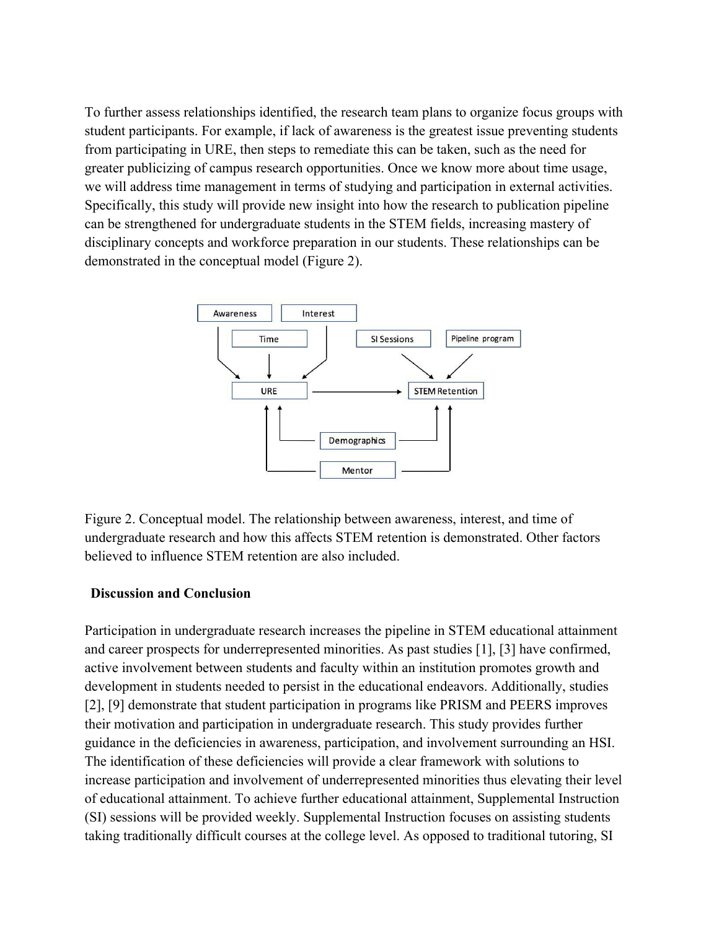To further assess relationships identified, the research team plans to organize focus groups with student participants. For example, if lack of awareness is the greatest issue preventing students from participating in URE, then steps to remediate this can be taken, such as the need for greater publicizing of campus research opportunities. Once we know more about time usage, we will address time management in terms of studying and participation in external activities. Specifically, this study will provide new insight into how the research to publication pipeline can be strengthened for undergraduate students in the STEM fields, increasing mastery of disciplinary concepts and workforce preparation in our students. These relationships can be demonstrated in the conceptual model (Figure 2).



Figure 2. Conceptual model. The relationship between awareness, interest, and time of undergraduate research and how this affects STEM retention is demonstrated. Other factors believed to influence STEM retention are also included.

### **Discussion and Conclusion**

Participation in undergraduate research increases the pipeline in STEM educational attainment and career prospects for underrepresented minorities. As past studies [1], [3] have confirmed, active involvement between students and faculty within an institution promotes growth and development in students needed to persist in the educational endeavors. Additionally, studies [2], [9] demonstrate that student participation in programs like PRISM and PEERS improves their motivation and participation in undergraduate research. This study provides further guidance in the deficiencies in awareness, participation, and involvement surrounding an HSI. The identification of these deficiencies will provide a clear framework with solutions to increase participation and involvement of underrepresented minorities thus elevating their level of educational attainment. To achieve further educational attainment, Supplemental Instruction (SI) sessions will be provided weekly. Supplemental Instruction focuses on assisting students taking traditionally difficult courses at the college level. As opposed to traditional tutoring, SI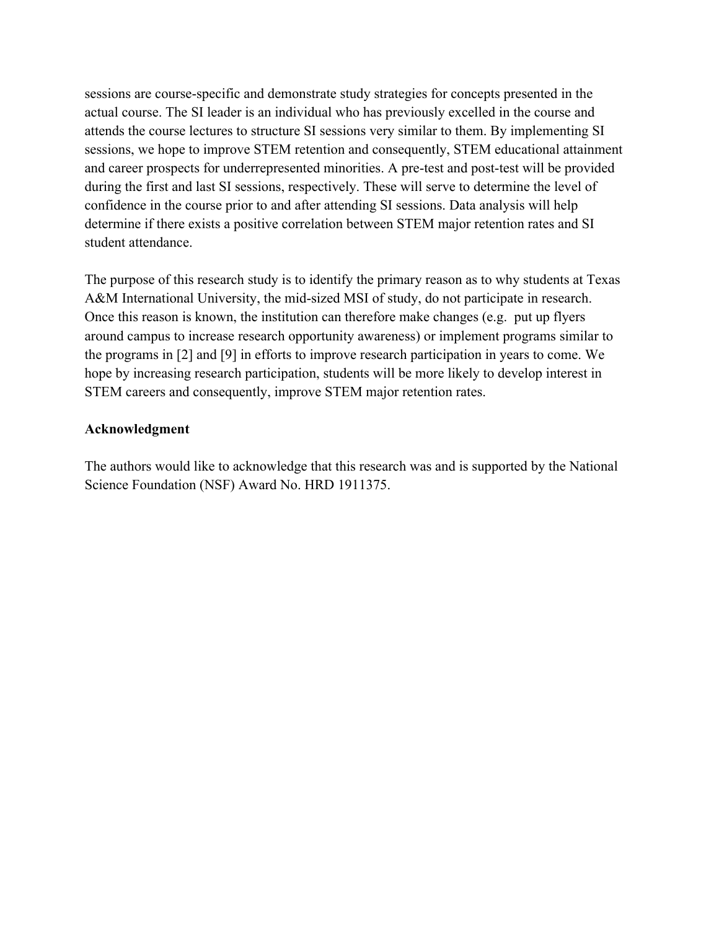sessions are course-specific and demonstrate study strategies for concepts presented in the actual course. The SI leader is an individual who has previously excelled in the course and attends the course lectures to structure SI sessions very similar to them. By implementing SI sessions, we hope to improve STEM retention and consequently, STEM educational attainment and career prospects for underrepresented minorities. A pre-test and post-test will be provided during the first and last SI sessions, respectively. These will serve to determine the level of confidence in the course prior to and after attending SI sessions. Data analysis will help determine if there exists a positive correlation between STEM major retention rates and SI student attendance.

The purpose of this research study is to identify the primary reason as to why students at Texas A&M International University, the mid-sized MSI of study, do not participate in research. Once this reason is known, the institution can therefore make changes (e.g. put up flyers around campus to increase research opportunity awareness) or implement programs similar to the programs in [2] and [9] in efforts to improve research participation in years to come. We hope by increasing research participation, students will be more likely to develop interest in STEM careers and consequently, improve STEM major retention rates.

## **Acknowledgment**

The authors would like to acknowledge that this research was and is supported by the National Science Foundation (NSF) Award No. HRD 1911375.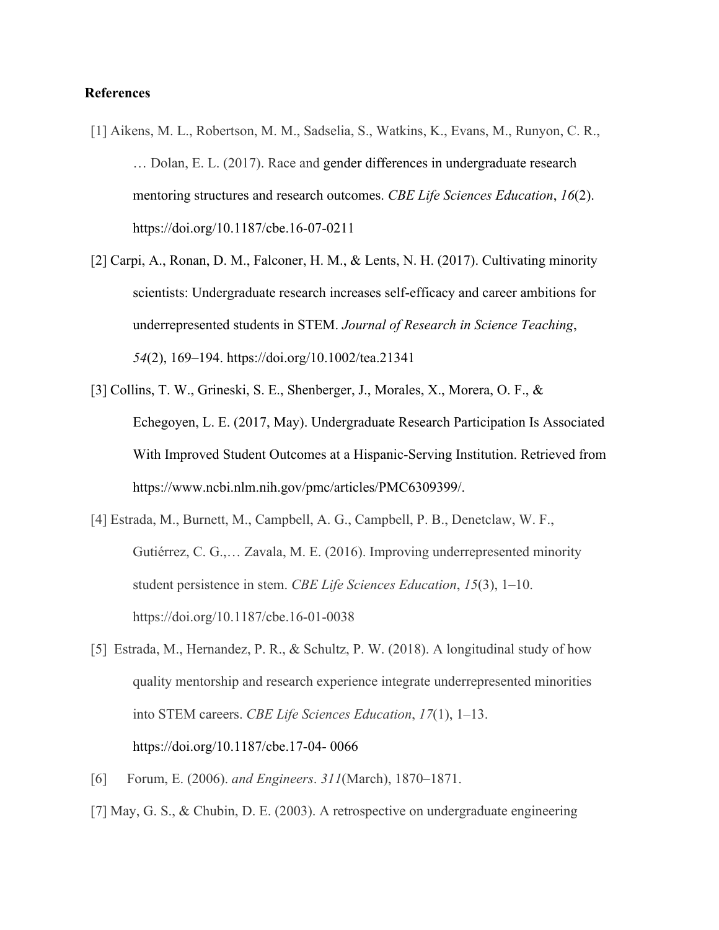## **References**

- [1] Aikens, M. L., Robertson, M. M., Sadselia, S., Watkins, K., Evans, M., Runyon, C. R., … Dolan, E. L. (2017). Race and gender differences in undergraduate research mentoring structures and research outcomes. *CBE Life Sciences Education*, *16*(2). https://doi.org/10.1187/cbe.16-07-0211
- [2] Carpi, A., Ronan, D. M., Falconer, H. M., & Lents, N. H. (2017). Cultivating minority scientists: Undergraduate research increases self-efficacy and career ambitions for underrepresented students in STEM. *Journal of Research in Science Teaching*, *54*(2), 169–194. https://doi.org/10.1002/tea.21341
- [3] Collins, T. W., Grineski, S. E., Shenberger, J., Morales, X., Morera, O. F., & Echegoyen, L. E. (2017, May). Undergraduate Research Participation Is Associated With Improved Student Outcomes at a Hispanic-Serving Institution. Retrieved from https://www.ncbi.nlm.nih.gov/pmc/articles/PMC6309399/.
- [4] Estrada, M., Burnett, M., Campbell, A. G., Campbell, P. B., Denetclaw, W. F., Gutiérrez, C. G.,… Zavala, M. E. (2016). Improving underrepresented minority student persistence in stem. *CBE Life Sciences Education*, *15*(3), 1–10. https://doi.org/10.1187/cbe.16-01-0038
- [5] Estrada, M., Hernandez, P. R., & Schultz, P. W. (2018). A longitudinal study of how quality mentorship and research experience integrate underrepresented minorities into STEM careers. *CBE Life Sciences Education*, *17*(1), 1–13. https://doi.org/10.1187/cbe.17-04- 0066
- [6] Forum, E. (2006). *and Engineers*. *311*(March), 1870–1871.
- [7] May, G. S., & Chubin, D. E. (2003). A retrospective on undergraduate engineering